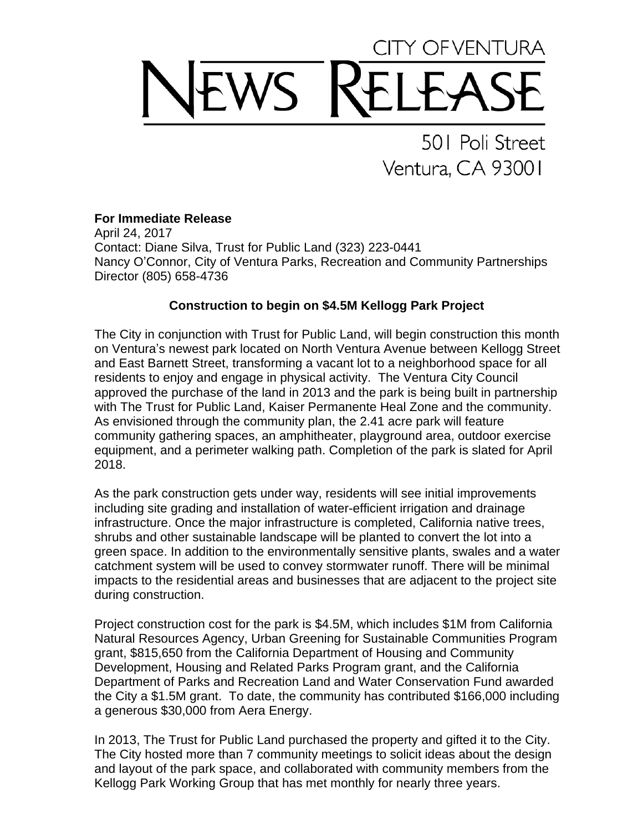## OF VENTURA WS

501 Poli Street Ventura, CA 93001

## **For Immediate Release**

April 24, 2017 Contact: Diane Silva, Trust for Public Land (323) 223-0441 Nancy O'Connor, City of Ventura Parks, Recreation and Community Partnerships Director (805) 658-4736

## **Construction to begin on \$4.5M Kellogg Park Project**

The City in conjunction with Trust for Public Land, will begin construction this month on Ventura's newest park located on North Ventura Avenue between Kellogg Street and East Barnett Street, transforming a vacant lot to a neighborhood space for all residents to enjoy and engage in physical activity. The Ventura City Council approved the purchase of the land in 2013 and the park is being built in partnership with The Trust for Public Land, Kaiser Permanente Heal Zone and the community. As envisioned through the community plan, the 2.41 acre park will feature community gathering spaces, an amphitheater, playground area, outdoor exercise equipment, and a perimeter walking path. Completion of the park is slated for April 2018.

As the park construction gets under way, residents will see initial improvements including site grading and installation of water-efficient irrigation and drainage infrastructure. Once the major infrastructure is completed, California native trees, shrubs and other sustainable landscape will be planted to convert the lot into a green space. In addition to the environmentally sensitive plants, swales and a water catchment system will be used to convey stormwater runoff. There will be minimal impacts to the residential areas and businesses that are adjacent to the project site during construction.

Project construction cost for the park is \$4.5M, which includes \$1M from California Natural Resources Agency, Urban Greening for Sustainable Communities Program grant, \$815,650 from the California Department of Housing and Community Development, Housing and Related Parks Program grant, and the California Department of Parks and Recreation Land and Water Conservation Fund awarded the City a \$1.5M grant. To date, the community has contributed \$166,000 including a generous \$30,000 from Aera Energy.

In 2013, The Trust for Public Land purchased the property and gifted it to the City. The City hosted more than 7 community meetings to solicit ideas about the design and layout of the park space, and collaborated with community members from the Kellogg Park Working Group that has met monthly for nearly three years.